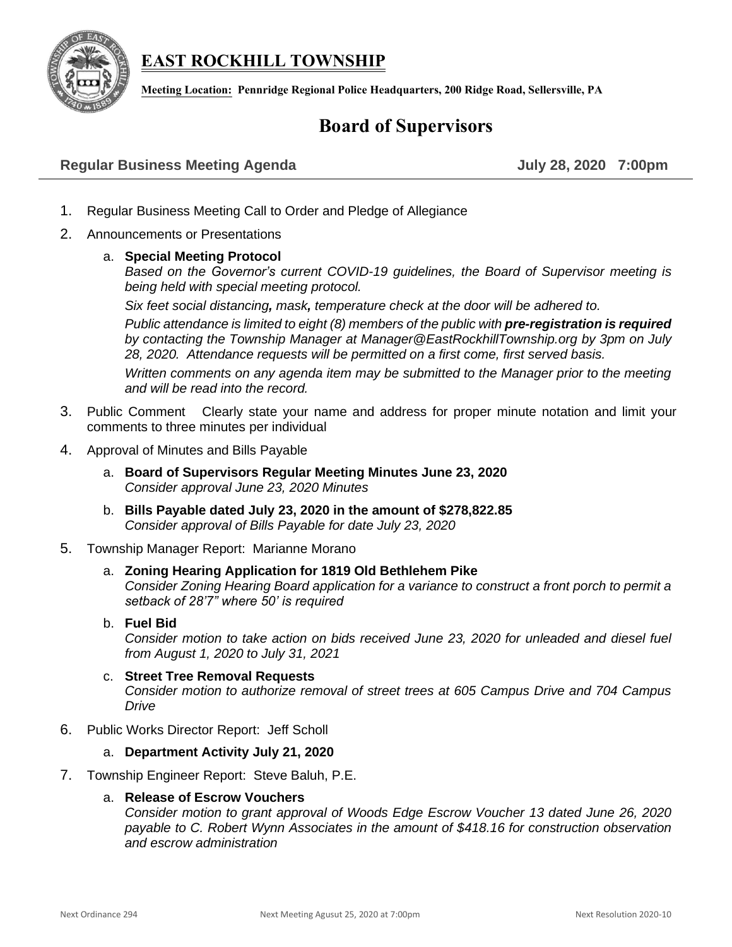# **EAST ROCKHILL TOWNSHIP**



**Meeting Location: Pennridge Regional Police Headquarters, 200 Ridge Road, Sellersville, PA**

# **Board of Supervisors**

## **Regular Business Meeting Agenda July 28, 2020 7:00pm**

- 1. Regular Business Meeting Call to Order and Pledge of Allegiance
- 2. Announcements or Presentations
	- a. **Special Meeting Protocol**

*Based on the Governor's current COVID-19 guidelines, the Board of Supervisor meeting is being held with special meeting protocol.* 

*Six feet social distancing, mask, temperature check at the door will be adhered to.* 

*Public attendance is limited to eight (8) members of the public with pre-registration is required by contacting the Township Manager at [Manager@EastRockhillTownship.org](mailto:Manager@EastRockhillTownship.org) by 3pm on July 28, 2020. Attendance requests will be permitted on a first come, first served basis.* 

*Written comments on any agenda item may be submitted to the Manager prior to the meeting and will be read into the record.*

- 3. Public Comment Clearly state your name and address for proper minute notation and limit your comments to three minutes per individual
- 4. Approval of Minutes and Bills Payable
	- a. **Board of Supervisors Regular Meeting Minutes June 23, 2020** *Consider approval June 23, 2020 Minutes*
	- b. **Bills Payable dated July 23, 2020 in the amount of \$278,822.85** *Consider approval of Bills Payable for date July 23, 2020*
- 5. Township Manager Report: Marianne Morano
	- a. **Zoning Hearing Application for 1819 Old Bethlehem Pike** *Consider Zoning Hearing Board application for a variance to construct a front porch to permit a setback of 28'7" where 50' is required*
	- b. **Fuel Bid** *Consider motion to take action on bids received June 23, 2020 for unleaded and diesel fuel from August 1, 2020 to July 31, 2021*
	- c. **Street Tree Removal Requests** *Consider motion to authorize removal of street trees at 605 Campus Drive and 704 Campus Drive*
- 6. Public Works Director Report: Jeff Scholl

### a. **Department Activity July 21, 2020**

7. Township Engineer Report: Steve Baluh, P.E.

### a. **Release of Escrow Vouchers**

*Consider motion to grant approval of Woods Edge Escrow Voucher 13 dated June 26, 2020 payable to C. Robert Wynn Associates in the amount of \$418.16 for construction observation and escrow administration*